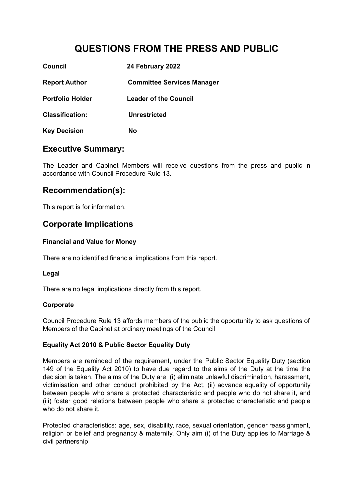# **QUESTIONS FROM THE PRESS AND PUBLIC**

| Council                 | 24 February 2022                  |
|-------------------------|-----------------------------------|
| <b>Report Author</b>    | <b>Committee Services Manager</b> |
| <b>Portfolio Holder</b> | <b>Leader of the Council</b>      |
| <b>Classification:</b>  | <b>Unrestricted</b>               |
| <b>Key Decision</b>     | No                                |

### **Executive Summary:**

The Leader and Cabinet Members will receive questions from the press and public in accordance with Council Procedure Rule 13.

### **Recommendation(s):**

This report is for information.

### **Corporate Implications**

#### **Financial and Value for Money**

There are no identified financial implications from this report*.*

#### **Legal**

There are no legal implications directly from this report.

#### **Corporate**

Council Procedure Rule 13 affords members of the public the opportunity to ask questions of Members of the Cabinet at ordinary meetings of the Council.

#### **Equality Act 2010 & Public Sector Equality Duty**

Members are reminded of the requirement, under the Public Sector Equality Duty (section 149 of the Equality Act 2010) to have due regard to the aims of the Duty at the time the decision is taken. The aims of the Duty are: (i) eliminate unlawful discrimination, harassment, victimisation and other conduct prohibited by the Act, (ii) advance equality of opportunity between people who share a protected characteristic and people who do not share it, and (iii) foster good relations between people who share a protected characteristic and people who do not share it.

Protected characteristics: age, sex, disability, race, sexual orientation, gender reassignment, religion or belief and pregnancy & maternity. Only aim (i) of the Duty applies to Marriage & civil partnership.